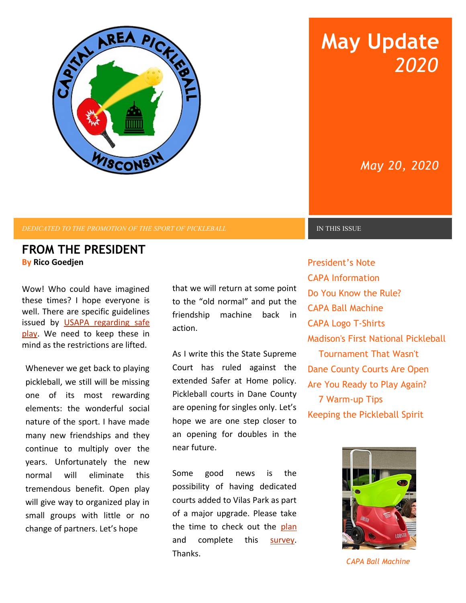

*DEDICATED TO THE PROMOTION OF THE SPORT OF PICKLEBALL* **IN THIS ISSUE** 

### **FROM THE PRESIDENT By Rico Goedjen**

Wow! Who could have imagined these times? I hope everyone is well. There are specific guidelines issued by [USAPA regarding safe](https://www.usapa.org/usa-pickleball-statement-on-the-coronavirus/) [play.](https://www.usapa.org/usa-pickleball-statement-on-the-coronavirus/) We need to keep these in mind as the restrictions are lifted.

Whenever we get back to playing pickleball, we still will be missing one of its most rewarding elements: the wonderful social nature of the sport. I have made many new friendships and they continue to multiply over the years. Unfortunately the new normal will eliminate this tremendous benefit. Open play will give way to organized play in small groups with little or no change of partners. Let's hope

that we will return at some point to the "old normal" and put the friendship machine back in action.

As I write this the State Supreme Court has ruled against the extended Safer at Home policy. Pickleball courts in Dane County are opening for singles only. Let's hope we are one step closer to an opening for doubles in the near future.

Some good news is the possibility of having dedicated courts added to Vilas Park as part of a major upgrade. Please take the time to check out the [plan](https://www.cityofmadison.com/parks/projects/vilas-henry-park-master-plan) and complete this [survey.](https://www.surveymonkey.com/r/VilasParkConcepts) Thanks.

# **May Update** *2020*

# *May 20, 2020*

President's Note CAPA Information Do You Know the Rule? CAPA Ball Machine CAPA Logo T-Shirts Madison's First National Pickleball Tournament That Wasn't Dane County Courts Are Open Are You Ready to Play Again? 7 Warm-up Tips Keeping the Pickleball Spirit



*CAPA Ball Machine*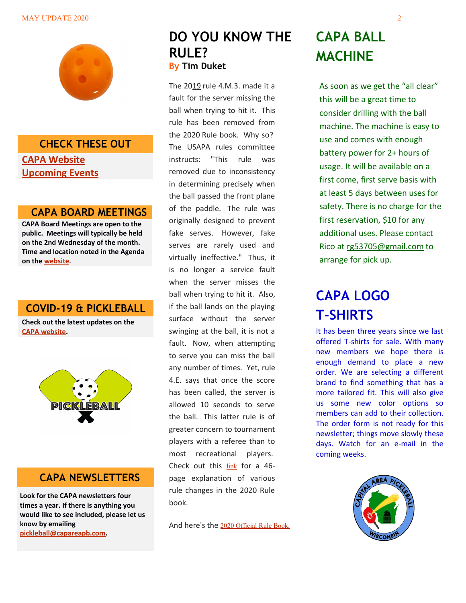#### MAY UPDATE 2020 22



### **CHECK THESE OUT**

### **[CAPA Website](http://www.capareapb.com/) [Upcoming Events](https://www.capareapb.com/copy-of-upcoming-events-1)**

### **CAPA BOARD MEETINGS**

**CAPA Board Meetings are open to the public. Meetings will typically be held on the 2nd Wednesday of the month. Time and location noted in the Agenda on the [website.](https://www.capareapb.com/capa-meeting-information)**

### **COVID-19 & PICKLEBALL**

**Check out the latest updates on the [CAPA website.](https://www.capareapb.com/)**



### **CAPA NEWSLETTERS**

**Look for the CAPA newsletters four times a year. If there is anything you would like to see included, please let us know by emailing [pickleball@capareapb.com.](mailto:pickleball@capareapb.com)**

## **DO YOU KNOW THE RULE? By Tim Duket**

The 2019 rule 4.M.3. made it a fault for the server missing the ball when trying to hit it. This rule has been removed from the 2020 Rule book. Why so? The USAPA rules committee instructs: "This rule was removed due to inconsistency in determining precisely when the ball passed the front plane of the paddle. The rule was originally designed to prevent fake serves. However, fake serves are rarely used and virtually ineffective." Thus, it is no longer a service fault when the server misses the ball when trying to hit it. Also, if the ball lands on the playing surface without the server swinging at the ball, it is not a fault. Now, when attempting to serve you can miss the ball any number of times. Yet, rule 4.E. says that once the score has been called, the server is allowed 10 seconds to serve the ball. This latter rule is of greater concern to tournament players with a referee than to most recreational players. Check out this [link](https://www.usapa.org/docs/ifp/USAPA-Rule-Changes.pdf) for a 46 page explanation of various rule changes in the 2020 Rule book.

And here's the [2020 Official Rule Book.](https://www.usapa.org/docs/ifp/USAPA-Rulebook.pdf)

# **CAPA BALL MACHINE**

As soon as we get the "all clear" this will be a great time to consider drilling with the ball machine. The machine is easy to use and comes with enough battery power for 2+ hours of usage. It will be available on a first come, first serve basis with at least 5 days between uses for safety. There is no charge for the first reservation, \$10 for any additional uses. Please contact Rico at [rg53705@gmail.com](mailto:rg53705@gmail.com) to arrange for pick up.

# **CAPA LOGO T-SHIRTS**

It has been three years since we last offered T-shirts for sale. With many new members we hope there is enough demand to place a new order. We are selecting a different brand to find something that has a more tailored fit. This will also give us some new color options so members can add to their collection. The order form is not ready for this newsletter; things move slowly these days. Watch for an e-mail in the coming weeks.

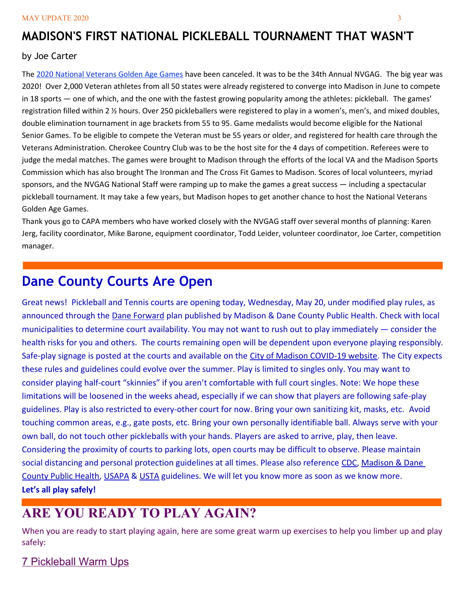## **MADISON'S FIRST NATIONAL PICKLEBALL TOURNAMENT THAT WASN'T**

#### by Joe Carter

The [2020 National Veterans Golden Age Games](http://www.blogs.va.gov/) have been canceled. It was to be the 34th Annual NVGAG. The big year was 2020! Over 2,000 Veteran athletes from all 50 states were already registered to converge into Madison in June to compete in 18 sports — one of which, and the one with the fastest growing popularity among the athletes: pickleball. The games' registration filled within 2 ½ hours. Over 250 pickleballers were registered to play in a women's, men's, and mixed doubles, double elimination tournament in age brackets from 55 to 95. Game medalists would become eligible for the National Senior Games. To be eligible to compete the Veteran must be 55 years or older, and registered for health care through the Veterans Administration. Cherokee Country Club was to be the host site for the 4 days of competition. Referees were to judge the medal matches. The games were brought to Madison through the efforts of the local VA and the Madison Sports Commission which has also brought The Ironman and The Cross Fit Games to Madison. Scores of local volunteers, myriad sponsors, and the NVGAG National Staff were ramping up to make the games a great success — including a spectacular pickleball tournament. It may take a few years, but Madison hopes to get another chance to host the National Veterans Golden Age Games.

Thank yous go to CAPA members who have worked closely with the NVGAG staff over several months of planning: Karen Jerg, facility coordinator, Mike Barone, equipment coordinator, Todd Leider, volunteer coordinator, Joe Carter, competition manager.

# **Dane County Courts Are Open**

Great news! Pickleball and Tennis courts are opening today, Wednesday, May 20, under modified play rules, as announced through the [Dane Forward](https://publichealthmdc.com/coronavirus/forward-dane) plan published by Madison & Dane County Public Health. Check with local municipalities to determine court availability. You may not want to rush out to play immediately — consider the health risks for you and others. The courts remaining open will be dependent upon everyone playing responsibly. Safe-play signage is posted at the courts and available on the [City of Madison COVID-19 website.](https://www.cityofmadison.com/parks/pickleball) The City expects these rules and guidelines could evolve over the summer. Play is limited to singles only. You may want to consider playing half-court "skinnies" if you aren't comfortable with full court singles. Note: We hope these limitations will be loosened in the weeks ahead, especially if we can show that players are following safe-play guidelines. Play is also restricted to every-other court for now. Bring your own sanitizing kit, masks, etc. Avoid touching common areas, e.g., gate posts, etc. Bring your own personally identifiable ball. Always serve with your own ball, do not touch other pickleballs with your hands. Players are asked to arrive, play, then leave. Considering the proximity of courts to parking lots, open courts may be difficult to observe. Please maintain social distancing and personal protection guidelines at all times. Please also reference [CDC,](https://www.cdc.gov/coronavirus/2019-ncov/index.html) Madison & Dane [County Public Health,](https://www.publichealthmdc.com/coronavirus) [USAPA](https://www.usapa.org/usa-pickleball-statement-on-the-coronavirus/) & [USTA](https://www.usta.com/en/home/usta-covid-19-updates.html) guidelines. We will let you know more as soon as we know more. **Let's all play safely!**

# **ARE YOU READY TO PLAY AGAIN?**

When you are ready to start playing again, here are some great warm up exercises to help you limber up and play safely:

[7 Pickleball Warm Ups](https://www.youtube.com/watch?v=jpRgavgyZdI&t=)